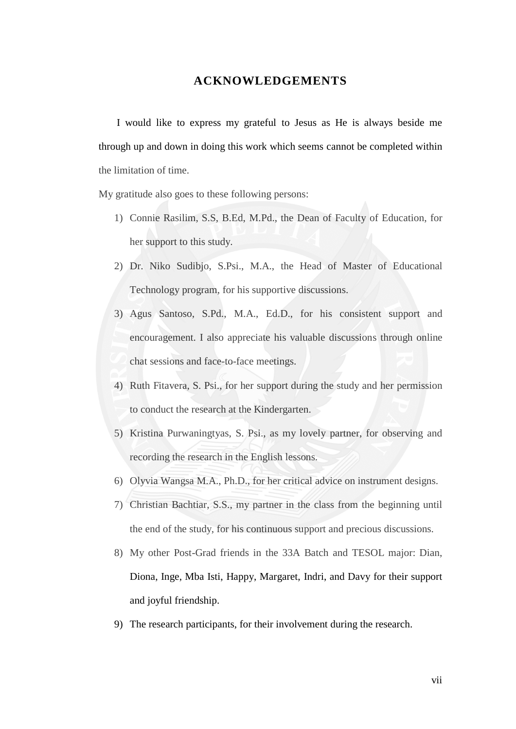#### **ACKNOWLEDGEMENTS**

<span id="page-0-0"></span> I would like to express my grateful to Jesus as He is always beside me through up and down in doing this work which seems cannot be completed within the limitation of time.

My gratitude also goes to these following persons:

- 1) Connie Rasilim, S.S, B.Ed, M.Pd., the Dean of Faculty of Education, for her support to this study.
- 2) Dr. Niko Sudibjo, S.Psi., M.A., the Head of Master of Educational Technology program, for his supportive discussions.
- 3) Agus Santoso, S.Pd., M.A., Ed.D., for his consistent support and encouragement. I also appreciate his valuable discussions through online chat sessions and face-to-face meetings.
- 4) Ruth Fitavera, S. Psi., for her support during the study and her permission to conduct the research at the Kindergarten.
- 5) Kristina Purwaningtyas, S. Psi., as my lovely partner, for observing and recording the research in the English lessons.
- 6) Olyvia Wangsa M.A., Ph.D., for her critical advice on instrument designs.
- 7) Christian Bachtiar, S.S., my partner in the class from the beginning until the end of the study, for his continuous support and precious discussions.
- 8) My other Post-Grad friends in the 33A Batch and TESOL major: Dian, Diona, Inge, Mba Isti, Happy, Margaret, Indri, and Davy for their support and joyful friendship.
- 9) The research participants, for their involvement during the research.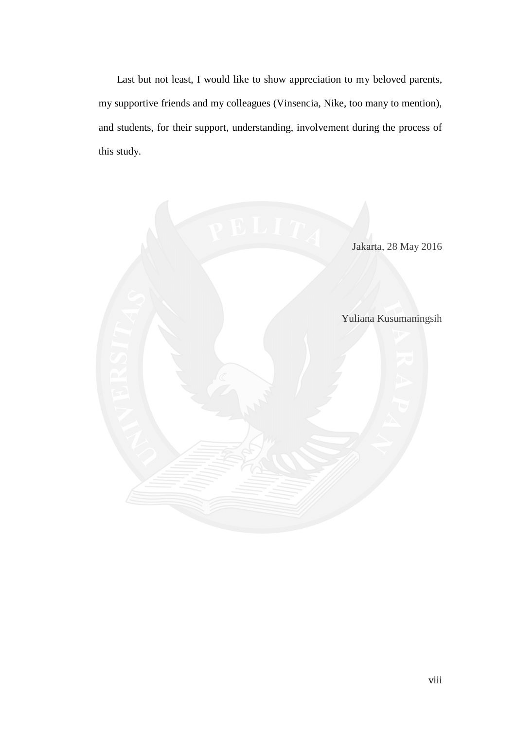Last but not least, I would like to show appreciation to my beloved parents, my supportive friends and my colleagues (Vinsencia, Nike, too many to mention), and students, for their support, understanding, involvement during the process of this study.

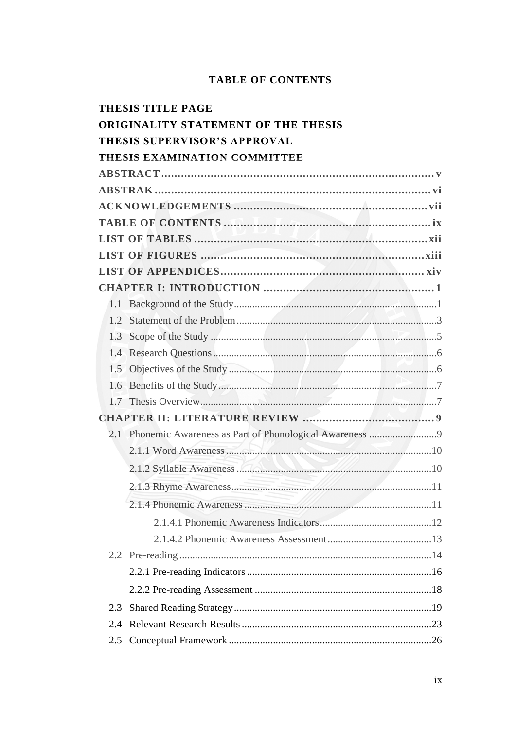#### **TABLE OF CONTENTS**

<span id="page-2-0"></span>

|                                            | <b>THESIS TITLE PAGE</b>                                                                                                                                                                                                       |  |  |  |
|--------------------------------------------|--------------------------------------------------------------------------------------------------------------------------------------------------------------------------------------------------------------------------------|--|--|--|
| <b>ORIGINALITY STATEMENT OF THE THESIS</b> |                                                                                                                                                                                                                                |  |  |  |
|                                            | <b>THESIS SUPERVISOR'S APPROVAL</b>                                                                                                                                                                                            |  |  |  |
|                                            | THESIS EXAMINATION COMMITTEE                                                                                                                                                                                                   |  |  |  |
|                                            |                                                                                                                                                                                                                                |  |  |  |
|                                            |                                                                                                                                                                                                                                |  |  |  |
|                                            |                                                                                                                                                                                                                                |  |  |  |
|                                            |                                                                                                                                                                                                                                |  |  |  |
|                                            |                                                                                                                                                                                                                                |  |  |  |
|                                            |                                                                                                                                                                                                                                |  |  |  |
|                                            |                                                                                                                                                                                                                                |  |  |  |
|                                            |                                                                                                                                                                                                                                |  |  |  |
|                                            |                                                                                                                                                                                                                                |  |  |  |
| 1.2                                        |                                                                                                                                                                                                                                |  |  |  |
| 1.3                                        |                                                                                                                                                                                                                                |  |  |  |
| 1.4                                        |                                                                                                                                                                                                                                |  |  |  |
|                                            |                                                                                                                                                                                                                                |  |  |  |
|                                            |                                                                                                                                                                                                                                |  |  |  |
|                                            |                                                                                                                                                                                                                                |  |  |  |
|                                            |                                                                                                                                                                                                                                |  |  |  |
|                                            |                                                                                                                                                                                                                                |  |  |  |
|                                            |                                                                                                                                                                                                                                |  |  |  |
|                                            | 2.1.2 Syllable Awareness 1.1 and 1.1 and 1.1 and 1.1 and 1.1 and 1.1 and 1.1 and 1.1 and 1.1 and 1.1 and 1.1 and 1.1 and 1.1 and 1.1 and 1.1 and 1.1 and 1.1 and 1.1 and 1.1 and 1.1 and 1.1 and 1.1 and 1.1 and 1.1 and 1.1 a |  |  |  |
|                                            | 11                                                                                                                                                                                                                             |  |  |  |
|                                            |                                                                                                                                                                                                                                |  |  |  |
|                                            |                                                                                                                                                                                                                                |  |  |  |
|                                            |                                                                                                                                                                                                                                |  |  |  |
|                                            |                                                                                                                                                                                                                                |  |  |  |
|                                            |                                                                                                                                                                                                                                |  |  |  |
|                                            |                                                                                                                                                                                                                                |  |  |  |
| 2.3                                        |                                                                                                                                                                                                                                |  |  |  |
| 2.4                                        |                                                                                                                                                                                                                                |  |  |  |
| 2.5                                        |                                                                                                                                                                                                                                |  |  |  |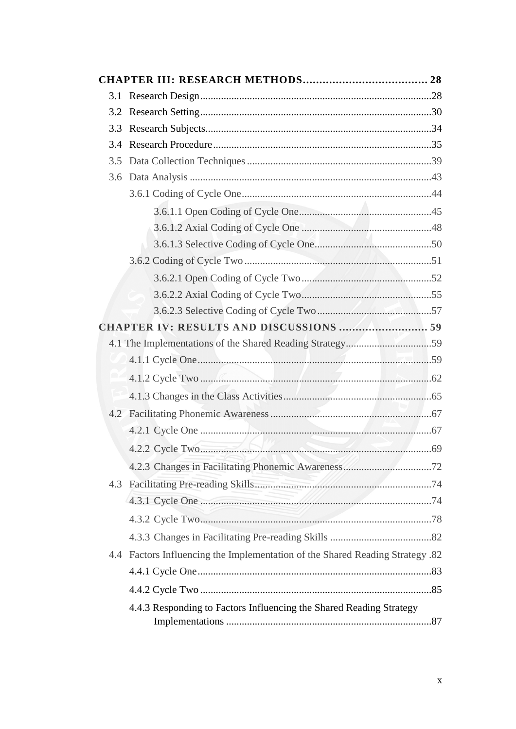| 3.3 |                                                                               |  |
|-----|-------------------------------------------------------------------------------|--|
| 3.4 |                                                                               |  |
| 3.5 |                                                                               |  |
|     |                                                                               |  |
|     |                                                                               |  |
|     |                                                                               |  |
|     |                                                                               |  |
|     |                                                                               |  |
|     |                                                                               |  |
|     |                                                                               |  |
|     |                                                                               |  |
|     |                                                                               |  |
|     | CHAPTER IV: RESULTS AND DISCUSSIONS 59                                        |  |
|     | 4.1 The Implementations of the Shared Reading Strategy59                      |  |
|     |                                                                               |  |
|     |                                                                               |  |
|     |                                                                               |  |
|     |                                                                               |  |
|     |                                                                               |  |
|     | 4.2.2 Cycle Two                                                               |  |
|     |                                                                               |  |
|     |                                                                               |  |
|     |                                                                               |  |
|     |                                                                               |  |
|     |                                                                               |  |
|     | 4.4 Factors Influencing the Implementation of the Shared Reading Strategy .82 |  |
|     |                                                                               |  |
|     |                                                                               |  |
|     | 4.4.3 Responding to Factors Influencing the Shared Reading Strategy           |  |
|     |                                                                               |  |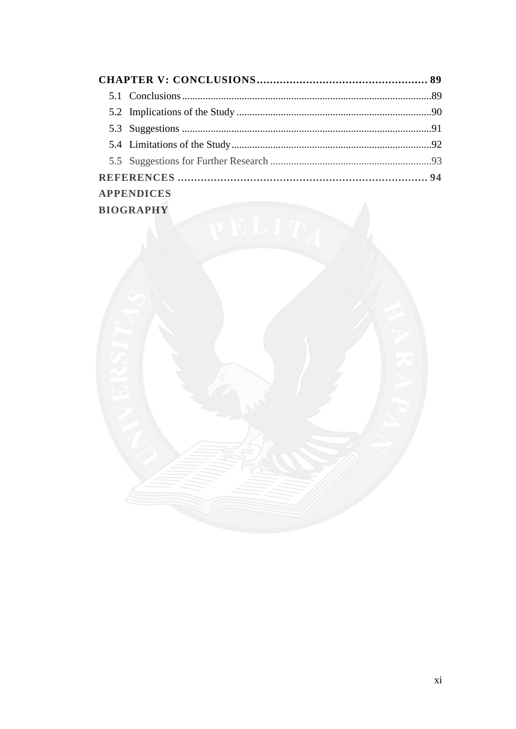|                  | <b>APPENDICES</b> |  |  |
|------------------|-------------------|--|--|
| <b>BIOGRAPHY</b> |                   |  |  |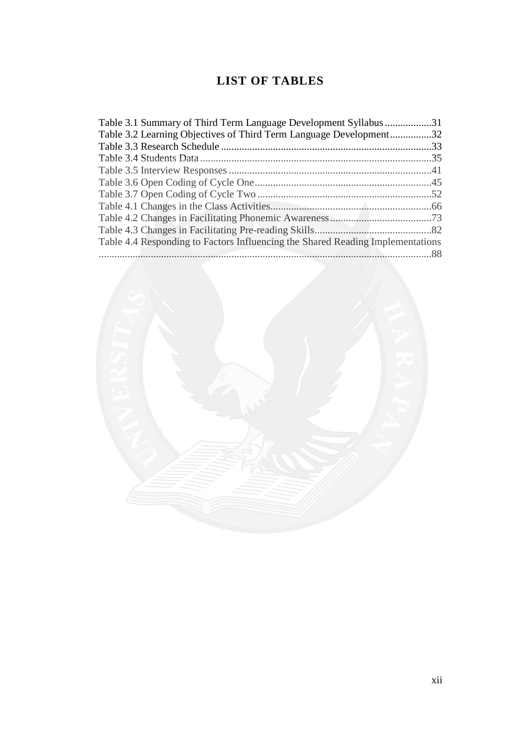# **LIST OF TABLES**

| Table 3.1 Summary of Third Term Language Development Syllabus 31               |  |
|--------------------------------------------------------------------------------|--|
| Table 3.2 Learning Objectives of Third Term Language Development32             |  |
|                                                                                |  |
|                                                                                |  |
|                                                                                |  |
|                                                                                |  |
|                                                                                |  |
|                                                                                |  |
|                                                                                |  |
|                                                                                |  |
| Table 4.4 Responding to Factors Influencing the Shared Reading Implementations |  |
|                                                                                |  |

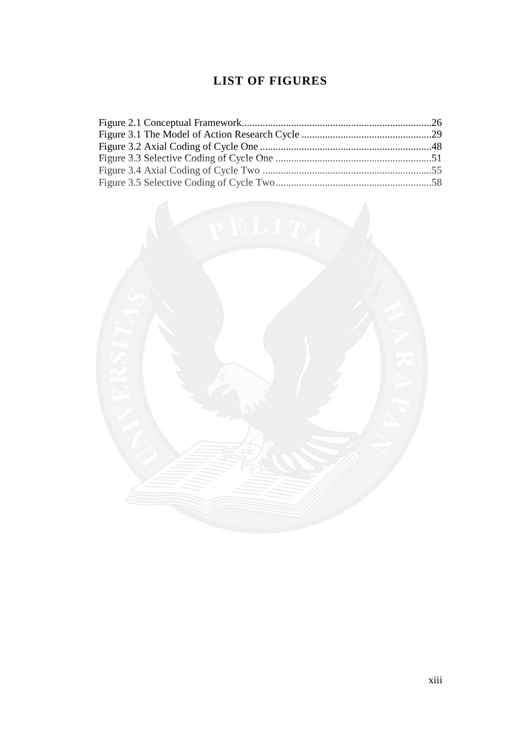# **LIST OF FIGURES**